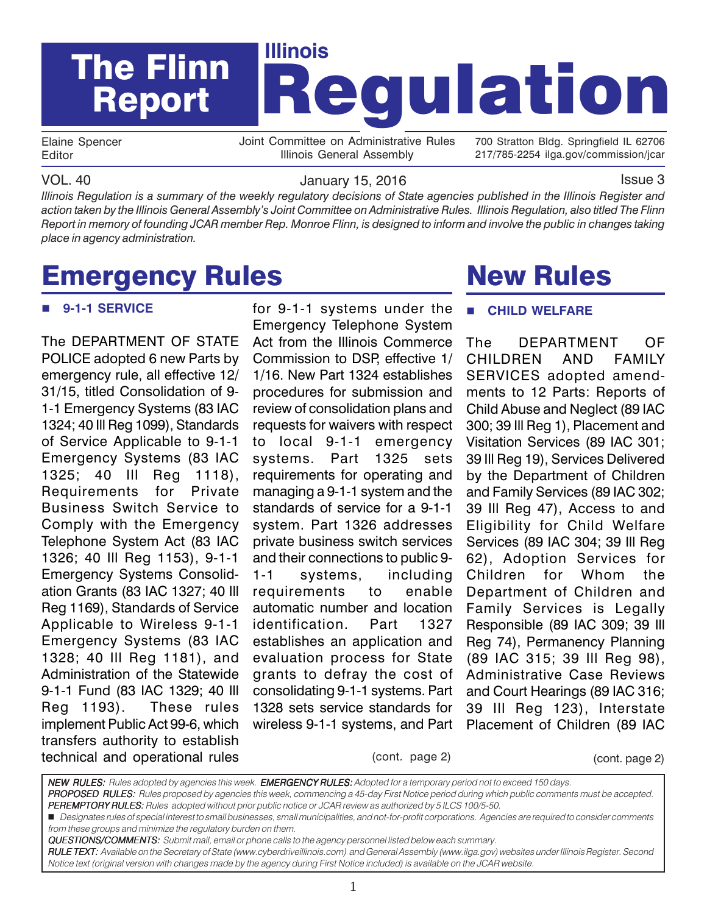

Elaine Spencer Editor

Joint Committee on Administrative Rules Illinois General Assembly

700 Stratton Bldg. Springfield IL 62706 217/785-2254 ilga.gov/commission/jcar

VOL. 40 January 15, 2016 Issue 3

*Illinois Regulation is a summary of the weekly regulatory decisions of State agencies published in the Illinois Register and action taken by the Illinois General Assembly's Joint Committee on Administrative Rules. Illinois Regulation, also titled The Flinn Report in memory of founding JCAR member Rep. Monroe Flinn, is designed to inform and involve the public in changes taking place in agency administration.*

# Emergency Rules

#### **9-1-1 SERVICE**

The DEPARTMENT OF STATE POLICE adopted 6 new Parts by emergency rule, all effective 12/ 31/15, titled Consolidation of 9- 1-1 Emergency Systems (83 IAC 1324; 40 Ill Reg 1099), Standards of Service Applicable to 9-1-1 Emergency Systems (83 IAC 1325; 40 Ill Reg 1118), Requirements for Private Business Switch Service to Comply with the Emergency Telephone System Act (83 IAC 1326; 40 Ill Reg 1153), 9-1-1 Emergency Systems Consolidation Grants (83 IAC 1327; 40 Ill Reg 1169), Standards of Service Applicable to Wireless 9-1-1 Emergency Systems (83 IAC 1328; 40 Ill Reg 1181), and Administration of the Statewide 9-1-1 Fund (83 IAC 1329; 40 Ill Reg 1193). These rules implement Public Act 99-6, which transfers authority to establish technical and operational rules

for 9-1-1 systems under the Emergency Telephone System Act from the Illinois Commerce Commission to DSP, effective 1/ 1/16. New Part 1324 establishes procedures for submission and review of consolidation plans and requests for waivers with respect to local 9-1-1 emergency systems. Part 1325 sets requirements for operating and managing a 9-1-1 system and the standards of service for a 9-1-1 system. Part 1326 addresses private business switch services and their connections to public 9- 1-1 systems, including requirements to enable automatic number and location identification. Part 1327 establishes an application and evaluation process for State grants to defray the cost of consolidating 9-1-1 systems. Part 1328 sets service standards for wireless 9-1-1 systems, and Part

# New Rules

#### **CHILD WELFARE**

The DEPARTMENT OF CHILDREN AND FAMILY SERVICES adopted amendments to 12 Parts: Reports of Child Abuse and Neglect (89 IAC 300; 39 Ill Reg 1), Placement and Visitation Services (89 IAC 301; 39 Ill Reg 19), Services Delivered by the Department of Children and Family Services (89 IAC 302; 39 Ill Reg 47), Access to and Eligibility for Child Welfare Services (89 IAC 304; 39 Ill Reg 62), Adoption Services for Children for Whom the Department of Children and Family Services is Legally Responsible (89 IAC 309; 39 Ill Reg 74), Permanency Planning (89 IAC 315; 39 Ill Reg 98), Administrative Case Reviews and Court Hearings (89 IAC 316; 39 Ill Reg 123), Interstate Placement of Children (89 IAC

(cont. page 2) (cont. page 2)

NEW RULES: Rules adopted by agencies this week. EMERGENCY RULES: Adopted for a temporary period not to exceed 150 days. PROPOSED RULES: Rules proposed by agencies this week, commencing a 45-day First Notice period during which public comments must be accepted. PEREMPTORY RULES: Rules adopted without prior public notice or JCAR review as authorized by 5 ILCS 100/5-50. Designates rules of special interest to small businesses, small municipalities, and not-for-profit corporations. Agencies are required to consider comments from these groups and minimize the regulatory burden on them. QUESTIONS/COMMENTS: Submit mail, email or phone calls to the agency personnel listed below each summary. RULE TEXT: Available on the Secretary of State (www.cyberdriveillinois.com) and General Assembly (www.ilga.gov) websites under Illinois Register. Second

Notice text (original version with changes made by the agency during First Notice included) is available on the JCAR website.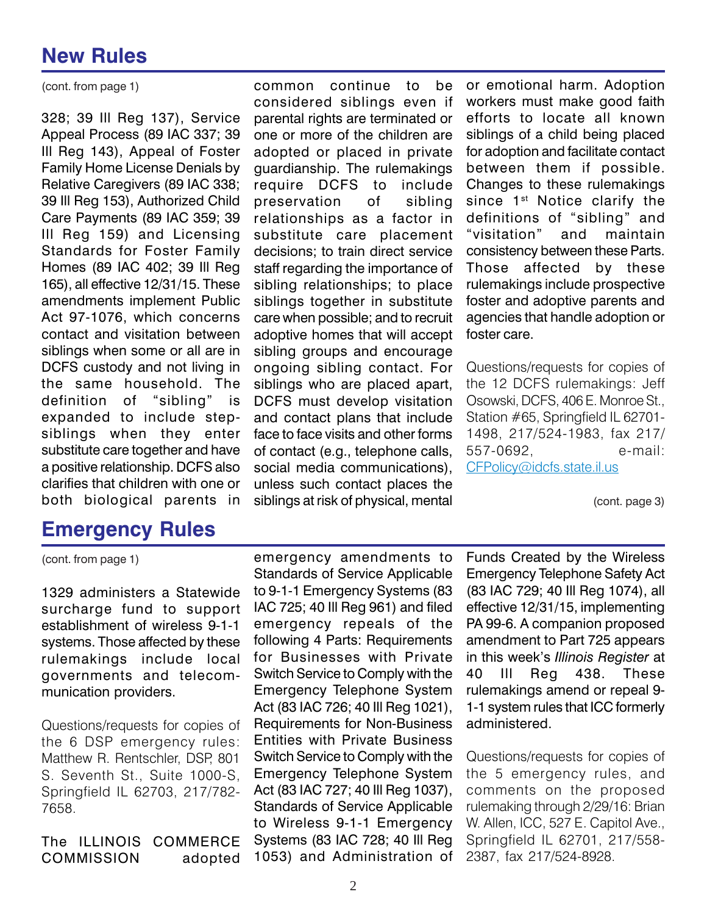(cont. from page 1)

328; 39 Ill Reg 137), Service Appeal Process (89 IAC 337; 39 Ill Reg 143), Appeal of Foster Family Home License Denials by Relative Caregivers (89 IAC 338; 39 Ill Reg 153), Authorized Child Care Payments (89 IAC 359; 39 Ill Reg 159) and Licensing Standards for Foster Family Homes (89 IAC 402; 39 Ill Reg 165), all effective 12/31/15. These amendments implement Public Act 97-1076, which concerns contact and visitation between siblings when some or all are in DCFS custody and not living in the same household. The definition of "sibling" is expanded to include stepsiblings when they enter substitute care together and have a positive relationship. DCFS also clarifies that children with one or both biological parents in

### **Emergency Rules**

common continue to be considered siblings even if parental rights are terminated or one or more of the children are adopted or placed in private guardianship. The rulemakings require DCFS to include preservation of sibling relationships as a factor in substitute care placement decisions; to train direct service staff regarding the importance of sibling relationships; to place siblings together in substitute care when possible; and to recruit adoptive homes that will accept sibling groups and encourage ongoing sibling contact. For siblings who are placed apart, DCFS must develop visitation and contact plans that include face to face visits and other forms of contact (e.g., telephone calls, social media communications), unless such contact places the siblings at risk of physical, mental

or emotional harm. Adoption workers must make good faith efforts to locate all known siblings of a child being placed for adoption and facilitate contact between them if possible. Changes to these rulemakings since 1<sup>st</sup> Notice clarify the definitions of "sibling" and "visitation" and maintain consistency between these Parts. Those affected by these rulemakings include prospective foster and adoptive parents and agencies that handle adoption or foster care.

Questions/requests for copies of the 12 DCFS rulemakings: Jeff Osowski, DCFS, 406 E. Monroe St., Station #65, Springfield IL 62701- 1498, 217/524-1983, fax 217/ 557-0692, e-mail: CFPolicy@idcfs.state.il.us

(cont. page 3)

(cont. from page 1)

1329 administers a Statewide surcharge fund to support establishment of wireless 9-1-1 systems. Those affected by these rulemakings include local governments and telecommunication providers.

Questions/requests for copies of the 6 DSP emergency rules: Matthew R. Rentschler, DSP, 801 S. Seventh St., Suite 1000-S, Springfield IL 62703, 217/782- 7658.

The ILLINOIS COMMERCE COMMISSION adopted

emergency amendments to Standards of Service Applicable to 9-1-1 Emergency Systems (83 IAC 725; 40 Ill Reg 961) and filed emergency repeals of the following 4 Parts: Requirements for Businesses with Private Switch Service to Comply with the Emergency Telephone System Act (83 IAC 726; 40 Ill Reg 1021), Requirements for Non-Business Entities with Private Business Switch Service to Comply with the Emergency Telephone System Act (83 IAC 727; 40 Ill Reg 1037), Standards of Service Applicable to Wireless 9-1-1 Emergency Systems (83 IAC 728; 40 Ill Reg 1053) and Administration of

Funds Created by the Wireless Emergency Telephone Safety Act (83 IAC 729; 40 Ill Reg 1074), all effective 12/31/15, implementing PA 99-6. A companion proposed amendment to Part 725 appears in this week's *Illinois Register* at 40 Ill Reg 438. These rulemakings amend or repeal 9- 1-1 system rules that ICC formerly administered.

Questions/requests for copies of the 5 emergency rules, and comments on the proposed rulemaking through 2/29/16: Brian W. Allen, ICC, 527 E. Capitol Ave., Springfield IL 62701, 217/558- 2387, fax 217/524-8928.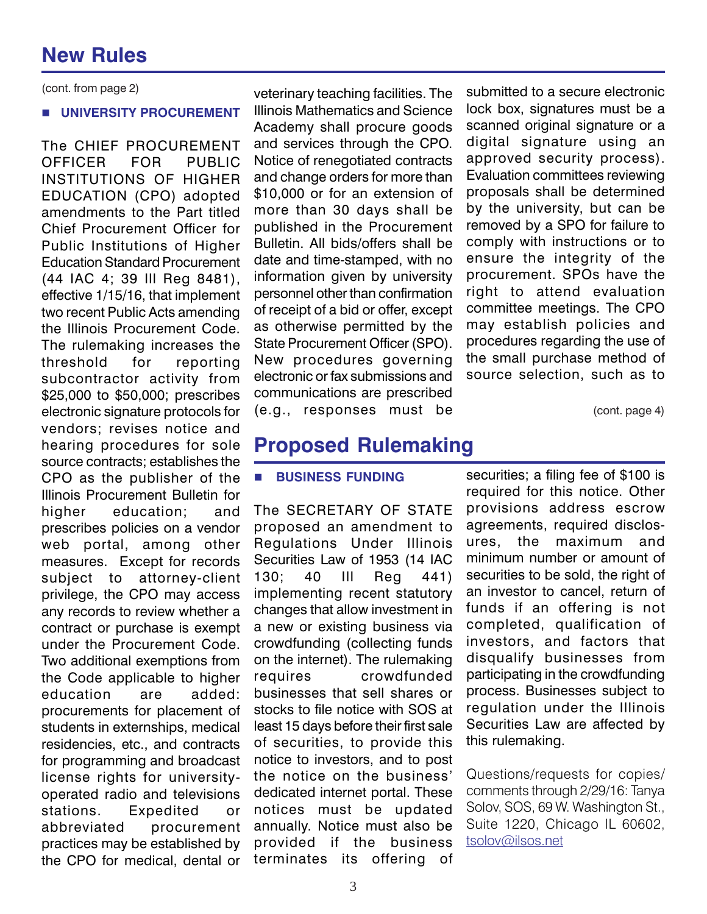(cont. from page 2)

#### **UNIVERSITY PROCUREMENT**

The CHIEF PROCUREMENT OFFICER FOR PUBLIC INSTITUTIONS OF HIGHER EDUCATION (CPO) adopted amendments to the Part titled Chief Procurement Officer for Public Institutions of Higher Education Standard Procurement (44 IAC 4; 39 Ill Reg 8481), effective 1/15/16, that implement two recent Public Acts amending the Illinois Procurement Code. The rulemaking increases the threshold for reporting subcontractor activity from \$25,000 to \$50,000; prescribes electronic signature protocols for vendors; revises notice and hearing procedures for sole source contracts; establishes the CPO as the publisher of the Illinois Procurement Bulletin for higher education; and prescribes policies on a vendor web portal, among other measures. Except for records subject to attorney-client privilege, the CPO may access any records to review whether a contract or purchase is exempt under the Procurement Code. Two additional exemptions from the Code applicable to higher education are added: procurements for placement of students in externships, medical residencies, etc., and contracts for programming and broadcast license rights for universityoperated radio and televisions stations. Expedited or abbreviated procurement practices may be established by the CPO for medical, dental or veterinary teaching facilities. The Illinois Mathematics and Science Academy shall procure goods and services through the CPO. Notice of renegotiated contracts and change orders for more than \$10,000 or for an extension of more than 30 days shall be published in the Procurement Bulletin. All bids/offers shall be date and time-stamped, with no information given by university personnel other than confirmation of receipt of a bid or offer, except as otherwise permitted by the State Procurement Officer (SPO). New procedures governing electronic or fax submissions and communications are prescribed (e.g., responses must be submitted to a secure electronic lock box, signatures must be a scanned original signature or a digital signature using an approved security process). Evaluation committees reviewing proposals shall be determined by the university, but can be removed by a SPO for failure to comply with instructions or to ensure the integrity of the procurement. SPOs have the right to attend evaluation committee meetings. The CPO may establish policies and procedures regarding the use of the small purchase method of source selection, such as to

(cont. page 4)

### **Proposed Rulemaking**

#### **BUSINESS FUNDING**

The SECRETARY OF STATE proposed an amendment to Regulations Under Illinois Securities Law of 1953 (14 IAC 130; 40 Ill Reg 441) implementing recent statutory changes that allow investment in a new or existing business via crowdfunding (collecting funds on the internet). The rulemaking requires crowdfunded businesses that sell shares or stocks to file notice with SOS at least 15 days before their first sale of securities, to provide this notice to investors, and to post the notice on the business' dedicated internet portal. These notices must be updated annually. Notice must also be provided if the business terminates its offering of

securities; a filing fee of \$100 is required for this notice. Other provisions address escrow agreements, required disclosures, the maximum and minimum number or amount of securities to be sold, the right of an investor to cancel, return of funds if an offering is not completed, qualification of investors, and factors that disqualify businesses from participating in the crowdfunding process. Businesses subject to regulation under the Illinois Securities Law are affected by this rulemaking.

Questions/requests for copies/ comments through 2/29/16: Tanya Solov, SOS, 69 W. Washington St., Suite 1220, Chicago IL 60602, tsolov@ilsos.net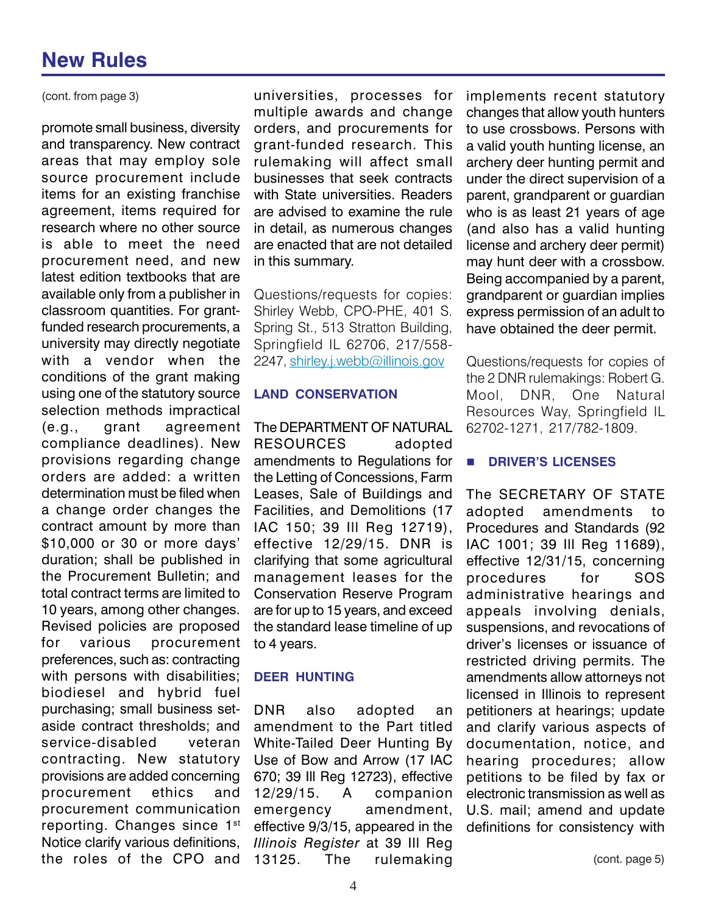(cont. from page 3)

promote small business, diversity and transparency. New contract areas that may employ sole source procurement include items for an existing franchise agreement, items required for research where no other source is able to meet the need procurement need, and new latest edition textbooks that are available only from a publisher in classroom quantities. For grantfunded research procurements, a university may directly negotiate with a vendor when the conditions of the grant making using one of the statutory source selection methods impractical (e.g., grant agreement compliance deadlines). New provisions regarding change orders are added: a written determination must be filed when a change order changes the contract amount by more than \$10,000 or 30 or more days' duration; shall be published in the Procurement Bulletin; and total contract terms are limited to 10 years, among other changes. Revised policies are proposed for various procurement preferences, such as: contracting with persons with disabilities; biodiesel and hybrid fuel purchasing; small business setaside contract thresholds; and service-disabled veteran contracting. New statutory provisions are added concerning procurement ethics and procurement communication reporting. Changes since 1st Notice clarify various definitions, the roles of the CPO and

universities, processes for multiple awards and change orders, and procurements for grant-funded research. This rulemaking will affect small businesses that seek contracts with State universities. Readers are advised to examine the rule in detail, as numerous changes are enacted that are not detailed in this summary.

Questions/requests for copies: Shirley Webb, CPO-PHE, 401 S. Spring St., 513 Stratton Building, Springfield IL 62706, 217/558- 2247, shirley.j.webb@illinois.gov

#### **LAND CONSERVATION**

The DEPARTMENT OF NATURAL RESOURCES adopted amendments to Regulations for the Letting of Concessions, Farm Leases, Sale of Buildings and Facilities, and Demolitions (17 IAC 150; 39 Ill Reg 12719), effective 12/29/15. DNR is clarifying that some agricultural management leases for the Conservation Reserve Program are for up to 15 years, and exceed the standard lease timeline of up to 4 years.

#### **DEER HUNTING**

DNR also adopted an amendment to the Part titled White-Tailed Deer Hunting By Use of Bow and Arrow (17 IAC 670; 39 Ill Reg 12723), effective 12/29/15. A companion emergency amendment, effective 9/3/15, appeared in the *Illinois Register* at 39 Ill Reg 13125. The rulemaking

implements recent statutory changes that allow youth hunters to use crossbows. Persons with a valid youth hunting license, an archery deer hunting permit and under the direct supervision of a parent, grandparent or guardian who is as least 21 years of age (and also has a valid hunting license and archery deer permit) may hunt deer with a crossbow. Being accompanied by a parent, grandparent or guardian implies express permission of an adult to have obtained the deer permit.

Questions/requests for copies of the 2 DNR rulemakings: Robert G. Mool, DNR, One Natural Resources Way, Springfield IL 62702-1271, 217/782-1809.

### **B** DRIVER'S LICENSES

The SECRETARY OF STATE adopted amendments to Procedures and Standards (92 IAC 1001; 39 Ill Reg 11689), effective 12/31/15, concerning procedures for SOS administrative hearings and appeals involving denials, suspensions, and revocations of driver's licenses or issuance of restricted driving permits. The amendments allow attorneys not licensed in Illinois to represent petitioners at hearings; update and clarify various aspects of documentation, notice, and hearing procedures; allow petitions to be filed by fax or electronic transmission as well as U.S. mail; amend and update definitions for consistency with